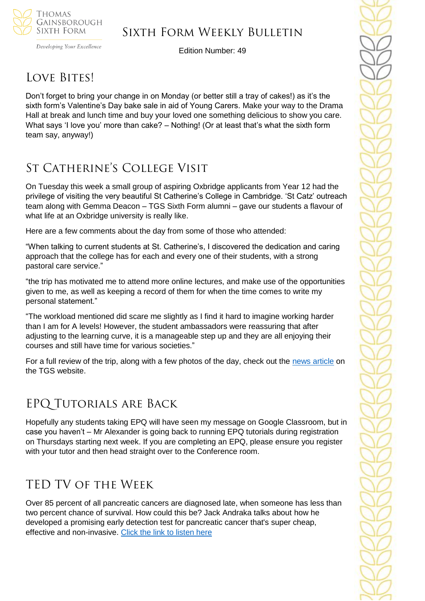

Developing Your Excellence

Edition Number: 49

## LOVE BITES!

Don't forget to bring your change in on Monday (or better still a tray of cakes!) as it's the sixth form's Valentine's Day bake sale in aid of Young Carers. Make your way to the Drama Hall at break and lunch time and buy your loved one something delicious to show you care. What says 'I love you' more than cake? – Nothing! (Or at least that's what the sixth form team say, anyway!)

### St Catherine's College Visit

On Tuesday this week a small group of aspiring Oxbridge applicants from Year 12 had the privilege of visiting the very beautiful St Catherine's College in Cambridge. 'St Catz' outreach team along with Gemma Deacon – TGS Sixth Form alumni – gave our students a flavour of what life at an Oxbridge university is really like.

Here are a few comments about the day from some of those who attended:

"When talking to current students at St. Catherine's, I discovered the dedication and caring approach that the college has for each and every one of their students, with a strong pastoral care service."

"the trip has motivated me to attend more online lectures, and make use of the opportunities given to me, as well as keeping a record of them for when the time comes to write my personal statement."

"The workload mentioned did scare me slightly as I find it hard to imagine working harder than I am for A levels! However, the student ambassadors were reassuring that after adjusting to the learning curve, it is a manageable step up and they are all enjoying their courses and still have time for various societies."

For a full review of the trip, along with a few photos of the day, check out the [news article](https://tgschool.net/news/year-12-visit-to-st-catherine-s-college) on the TGS website.

## EPQ Tutorials are Back

Hopefully any students taking EPQ will have seen my message on Google Classroom, but in case you haven't – Mr Alexander is going back to running EPQ tutorials during registration on Thursdays starting next week. If you are completing an EPQ, please ensure you register with your tutor and then head straight over to the Conference room.

## TED TV of the Week

Over 85 percent of all pancreatic cancers are diagnosed late, when someone has less than two percent chance of survival. How could this be? Jack Andraka talks about how he developed a promising early detection test for pancreatic cancer that's super cheap, effective and non-invasive. [Click the link to listen here](https://www.ted.com/talks/jack_andraka_a_promising_test_for_pancreatic_cancer_from_a_teenager?referrer=playlist-talks_to_watch_with_kids)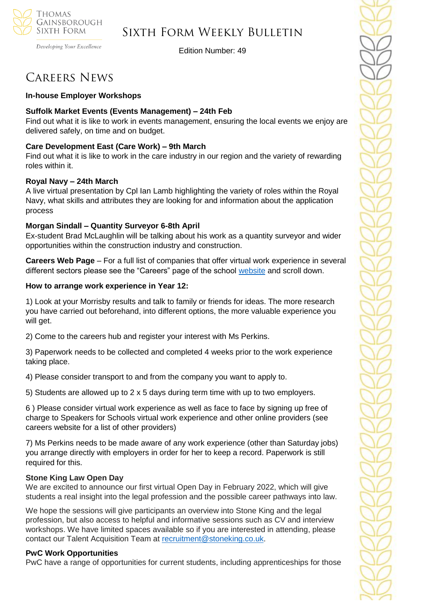

Developing Your Excellence

Edition Number: 49

### Careers News

### **In-house Employer Workshops**

### **Suffolk Market Events (Events Management) – 24th Feb**

Find out what it is like to work in events management, ensuring the local events we enjoy are delivered safely, on time and on budget.

### **Care Development East (Care Work) – 9th March**

Find out what it is like to work in the care industry in our region and the variety of rewarding roles within it.

### **Royal Navy – 24th March**

A live virtual presentation by Cpl Ian Lamb highlighting the variety of roles within the Royal Navy, what skills and attributes they are looking for and information about the application process

### **Morgan Sindall – Quantity Surveyor 6-8th April**

Ex-student Brad McLaughlin will be talking about his work as a quantity surveyor and wider opportunities within the construction industry and construction.

**Careers Web Page** – For a full list of companies that offer virtual work experience in several different sectors please see the "Careers" page of the school [website](https://tgschool.net/careers) and scroll down.

### **How to arrange work experience in Year 12:**

1) Look at your Morrisby results and talk to family or friends for ideas. The more research you have carried out beforehand, into different options, the more valuable experience you will get.

2) Come to the careers hub and register your interest with Ms Perkins.

3) Paperwork needs to be collected and completed 4 weeks prior to the work experience taking place.

4) Please consider transport to and from the company you want to apply to.

5) Students are allowed up to 2 x 5 days during term time with up to two employers.

6 ) Please consider virtual work experience as well as face to face by signing up free of charge to Speakers for Schools virtual work experience and other online providers (see careers website for a list of other providers)

7) Ms Perkins needs to be made aware of any work experience (other than Saturday jobs) you arrange directly with employers in order for her to keep a record. Paperwork is still required for this.

#### **Stone King Law Open Day**

We are excited to announce our first virtual Open Day in February 2022, which will give students a real insight into the legal profession and the possible career pathways into law.

We hope the sessions will give participants an overview into Stone King and the legal profession, but also access to helpful and informative sessions such as CV and interview workshops. We have limited spaces available so if you are interested in attending, please contact our Talent Acquisition Team at [recruitment@stoneking.co.uk](mailto:recruitment@stoneking.co.uk).

### **PwC Work Opportunities**

PwC have a range of opportunities for current students, including apprenticeships for those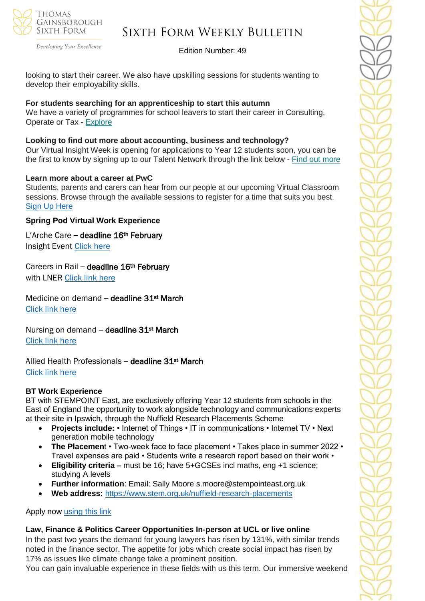

Developing Your Excellence

### Edition Number: 49

looking to start their career. We also have upskilling sessions for students wanting to develop their employability skills.

### **For students searching for an apprenticeship to start this autumn**

We have a variety of programmes for school leavers to start their career in Consulting, Operate or Tax - [Explore](https://successatschool.us3.list-manage.com/track/click?u=2c038531b25876a2c7c9cf8b1&id=9f5897f3f7&e=530f418f3c)

### **Looking to find out more about accounting, business and technology?**

Our Virtual Insight Week is opening for applications to Year 12 students soon, you can be the first to know by signing up to our Talent Network through the link below - Find out [more](https://successatschool.us3.list-manage.com/track/click?u=2c038531b25876a2c7c9cf8b1&id=f5cecfdb6a&e=530f418f3c)

#### **Learn more about a career at PwC**

Students, parents and carers can hear from our people at our upcoming Virtual Classroom sessions. Browse through the available sessions to register for a time that suits you best. [Sign Up Here](https://www.pwc.co.uk/careers/student-careers/school-careers/virtual-classroom.html)

### **Spring Pod Virtual Work Experience**

L'Arche Care **–** deadline 16th February Insight Event [Click here](https://www.springpod.com/virtual-work-experience/larche-insight-event?utm_source=febpdf&utm_medium=email&utm_campaign=vwex&utm_term=vwex_febpdf&utm_content=vwex_febpdf_larche)

### Careers in Rail – deadline 16<sup>th</sup> February

with LNER [Click link here](https://www.springpod.com/virtual-work-experience/lner-tomorrows-talent?utm_source=febpdf&utm_medium=email&utm_campaign=vwex&utm_term=vwex_febpdf&utm_content=vwex_febpdf_lner)

Medicine on demand - deadline 31st March [Click link here](https://www.springpod.com/virtual-work-experience/health-education-england-medicine-online-work-related-learning?utm_source=febpdf&utm_medium=email&utm_campaign=vwex&utm_term=vwex_febpdf&utm_content=vwex_febpdf_medicine_hee)

Nursing on demand - deadline 31<sup>st</sup> March [Click link here](https://www.springpod.com/virtual-work-experience/health-education-england-nursing-online-work-related-learning?utm_source=febpdf&utm_medium=email&utm_campaign=vwex&utm_term=vwex_febpdf&utm_content=vwex_febpdf_nursing_hee)

Allied Health Professionals - deadline 31st March [Click link here](https://www.springpod.com/virtual-work-experience/allied-health-professional-online-work-related-learning?utm_source=febpdf&utm_medium=email&utm_campaign=vwex&utm_term=vwex_febpdf&utm_content=vwex_febpdf_ahp_on_demand)

#### **BT Work Experience**

BT with STEMPOINT East**,** are exclusively offering Year 12 students from schools in the East of England the opportunity to work alongside technology and communications experts at their site in Ipswich, through the Nuffield Research Placements Scheme

- **Projects include:** Internet of Things IT in communications Internet TV Next generation mobile technology
- **The Placemen**t Two-week face to face placement Takes place in summer 2022 Travel expenses are paid • Students write a research report based on their work •
- **Eligibility criteria –** must be 16; have 5+GCSEs incl maths, eng +1 science; studying A levels
- **Further information**: Email: Sally Moore s.moore@stempointeast.org.uk
- **Web address:** <https://www.stem.org.uk/nuffield-research-placements>

#### Apply now [using this link](http://www.nuffieldresearchplacements.org/)

### **Law, Finance & Politics Career Opportunities In-person at UCL or live online**

In the past two years the demand for young lawyers has risen by 131%, with similar trends noted in the finance sector. The appetite for jobs which create social impact has risen by 17% as issues like climate change take a prominent position.

You can gain invaluable experience in these fields with us this term. Our immersive weekend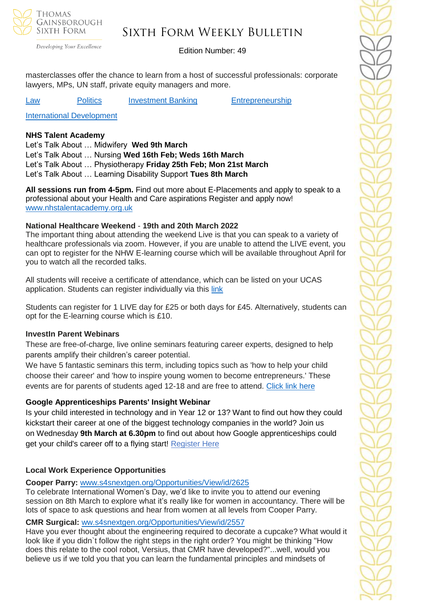

### Sixth Form Weekly Bulletin

Edition Number: 49

masterclasses offer the chance to learn from a host of successful professionals: corporate lawyers, MPs, UN staff, private equity managers and more.

[Law](https://investin.org/pages/law?utm_source=UK+SCHOOLS+MASTER&utm_campaign=db55dddcac-bankersschoolmar_COPY_01&utm_medium=email&utm_term=0_bfccb03bbd-db55dddcac-137697031&mc_cid=db55dddcac&mc_eid=894e4199ae) **[Politics](https://investin.org/pages/politics?utm_source=UK+SCHOOLS+MASTER&utm_campaign=db55dddcac-bankersschoolmar_COPY_01&utm_medium=email&utm_term=0_bfccb03bbd-db55dddcac-137697031&mc_cid=db55dddcac&mc_eid=894e4199ae)** [Investment Banking](https://investin.org/pages/investment-banking?utm_source=UK+SCHOOLS+MASTER&utm_campaign=db55dddcac-bankersschoolmar_COPY_01&utm_medium=email&utm_term=0_bfccb03bbd-db55dddcac-137697031&mc_cid=db55dddcac&mc_eid=894e4199ae) [Entrepreneurship](https://investin.org/pages/entrepreneurship?utm_source=UK+SCHOOLS+MASTER&utm_campaign=db55dddcac-bankersschoolmar_COPY_01&utm_medium=email&utm_term=0_bfccb03bbd-db55dddcac-137697031&mc_cid=db55dddcac&mc_eid=894e4199ae)

[International Development](https://investin.org/pages/international-development?utm_source=UK+SCHOOLS+MASTER&utm_campaign=db55dddcac-bankersschoolmar_COPY_01&utm_medium=email&utm_term=0_bfccb03bbd-db55dddcac-137697031&mc_cid=db55dddcac&mc_eid=894e4199ae)

#### **NHS Talent Academy**

Let's Talk About … Midwifery **Wed 9th March**  Let's Talk About … Nursing **Wed 16th Feb; Weds 16th March** Let's Talk About … Physiotherapy **Friday 25th Feb; Mon 21st March** Let's Talk About … Learning Disability Support **Tues 8th March**

**All sessions run from 4-5pm.** Find out more about E-Placements and apply to speak to a professional about your Health and Care aspirations Register and apply now! [www.nhstalentacademy.org.uk](file://///tgs-sr-data/Staff%20Shared-N/Sixth%20Form/Admin/Weekly%20Bulletin/www.nhstalentacademy.org.uk)

### **National Healthcare Weekend** - **19th and 20th March 2022**

The important thing about attending the weekend Live is that you can speak to a variety of healthcare professionals via zoom. However, if you are unable to attend the LIVE event, you can opt to register for the NHW E-learning course which will be available throughout April for you to watch all the recorded talks.

All students will receive a certificate of attendance, which can be listed on your UCAS application. Students can register individually via this [link](https://alliedhealthmentor.org/national-healthcare-weekend/)

Students can register for 1 LIVE day for £25 or both days for £45. Alternatively, students can opt for the E-learning course which is £10.

#### **InvestIn Parent Webinars**

These are free-of-charge, live online seminars featuring career experts, designed to help parents amplify their children's career potential.

We have 5 fantastic seminars this term, including topics such as 'how to help your child choose their career' and 'how to inspire young women to become entrepreneurs.' These events are for parents of students aged 12-18 and are free to attend. [Click link here](https://investin.org/pages/parent-events?mc_cid=9c80b43ed8&mc_eid=1348b989f1)

### **Google Apprenticeships Parents' Insight Webinar**

Is your child interested in technology and in Year 12 or 13? Want to find out how they could kickstart their career at one of the biggest technology companies in the world? Join us on Wednesday **9th March at 6.30pm** to find out about how Google apprenticeships could get your child's career off to a flying start! [Register](https://www.eventbrite.co.uk/e/google-apprenticeships-parents-insight-webinar-tickets-260281578207?aff=odeimcmailchimp&goal=0_65c6d67e71-94d6dcd2d7-212136547&mc_cid=94d6dcd2d7&mc_eid=530f418f3c) Here

### **Local Work Experience Opportunities**

#### **Cooper Parry:** [www.s4snextgen.org/Opportunities/View/id/2625](https://emea01.safelinks.protection.outlook.com/?url=http%3A%2F%2Fwww.s4snextgen.org%2FOpportunities%2FView%2Fid%2F2625&data=04%7C01%7C%7C768101927a38480d544508d9e1093bad%7C84df9e7fe9f640afb435aaaaaaaaaaaa%7C1%7C0%7C637788252042419044%7CUnknown%7CTWFpbGZsb3d8eyJWIjoiMC4wLjAwMDAiLCJQIjoiV2luMzIiLCJBTiI6Ik1haWwiLCJXVCI6Mn0%3D%7C3000&sdata=cEBtISNnaEr21TtOkSWwc1uHUJg0lddjwGcC53iOnOY%3D&reserved=0)

To celebrate International Women's Day, we'd like to invite you to attend our evening session on 8th March to explore what it's really like for women in accountancy. There will be lots of space to ask questions and hear from women at all levels from Cooper Parry.

#### **CMR Surgical:** [ww.s4snextgen.org/Opportunities/View/id/2557](https://emea01.safelinks.protection.outlook.com/?url=http%3A%2F%2Fwww.s4snextgen.org%2FOpportunities%2FView%2Fid%2F2557&data=04%7C01%7C%7C768101927a38480d544508d9e1093bad%7C84df9e7fe9f640afb435aaaaaaaaaaaa%7C1%7C0%7C637788252042419044%7CUnknown%7CTWFpbGZsb3d8eyJWIjoiMC4wLjAwMDAiLCJQIjoiV2luMzIiLCJBTiI6Ik1haWwiLCJXVCI6Mn0%3D%7C3000&sdata=Kr%2Bgk3G3cSCBMCZXy9y5Y%2BPvrc05A4W4XgtsqUuXXDI%3D&reserved=0)

Have you ever thought about the engineering required to decorate a cupcake? What would it look like if you didn`t follow the right steps in the right order? You might be thinking "How does this relate to the cool robot, Versius, that CMR have developed?"...well, would you believe us if we told you that you can learn the fundamental principles and mindsets of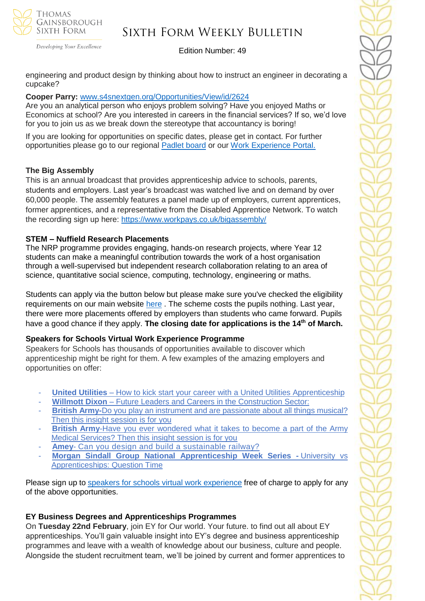

Developing Your Excellence

### Edition Number: 49

engineering and product design by thinking about how to instruct an engineer in decorating a cupcake?

### **Cooper Parry:** [www.s4snextgen.org/Opportunities/View/id/2624](https://emea01.safelinks.protection.outlook.com/?url=http%3A%2F%2Fwww.s4snextgen.org%2FOpportunities%2FView%2Fid%2F2624&data=04%7C01%7C%7C768101927a38480d544508d9e1093bad%7C84df9e7fe9f640afb435aaaaaaaaaaaa%7C1%7C0%7C637788252042419044%7CUnknown%7CTWFpbGZsb3d8eyJWIjoiMC4wLjAwMDAiLCJQIjoiV2luMzIiLCJBTiI6Ik1haWwiLCJXVCI6Mn0%3D%7C3000&sdata=N70IqMIVhddXg1hKGzPxo7mJpT38w90LCJaVEIPomC4%3D&reserved=0)

Are you an analytical person who enjoys problem solving? Have you enjoyed Maths or Economics at school? Are you interested in careers in the financial services? If so, we'd love for you to join us as we break down the stereotype that accountancy is boring!

If you are looking for opportunities on specific dates, please get in contact. For further opportunities please go to our regional [Padlet](https://emea01.safelinks.protection.outlook.com/?url=https%3A%2F%2Fpadlet.com%2FSFSEast%2Fgexg5eu91pyzwt4j&data=04%7C01%7C%7C768101927a38480d544508d9e1093bad%7C84df9e7fe9f640afb435aaaaaaaaaaaa%7C1%7C0%7C637788252042419044%7CUnknown%7CTWFpbGZsb3d8eyJWIjoiMC4wLjAwMDAiLCJQIjoiV2luMzIiLCJBTiI6Ik1haWwiLCJXVCI6Mn0%3D%7C3000&sdata=X1r%2FNbQ0zg6qejulMgxSx39S0BtCd8vMLeO6k9Nb0tg%3D&reserved=0) board or our Work [Experience](https://emea01.safelinks.protection.outlook.com/?url=https%3A%2F%2Fwww.s4snextgen.org%2F&data=04%7C01%7C%7C768101927a38480d544508d9e1093bad%7C84df9e7fe9f640afb435aaaaaaaaaaaa%7C1%7C0%7C637788252042419044%7CUnknown%7CTWFpbGZsb3d8eyJWIjoiMC4wLjAwMDAiLCJQIjoiV2luMzIiLCJBTiI6Ik1haWwiLCJXVCI6Mn0%3D%7C3000&sdata=ti0S6yewXyHWtGFbnSAHum5Rtiknezr33lZX65Uz19Q%3D&reserved=0) Portal.

### **The Big Assembly**

This is an annual broadcast that provides apprenticeship advice to schools, parents, students and employers. Last year's broadcast was watched live and on demand by over 60,000 people. The assembly features a panel made up of employers, current apprentices, former apprentices, and a representative from the Disabled Apprentice Network. To watch the recording sign up here: [https://www.workpays.co.uk/bigassembly/](https://emea01.safelinks.protection.outlook.com/?url=https%3A%2F%2Feducation.us8.list-manage.com%2Ftrack%2Fclick%3Fu%3D37f3ff5dd5ca9f203df2689a5%26id%3D5751336036%26e%3D6c4627dc7a&data=04%7C01%7C%7C5109108ec3cc49416da408d9ebb534ac%7C84df9e7fe9f640afb435aaaaaaaaaaaa%7C1%7C0%7C637799986632838206%7CUnknown%7CTWFpbGZsb3d8eyJWIjoiMC4wLjAwMDAiLCJQIjoiV2luMzIiLCJBTiI6Ik1haWwiLCJXVCI6Mn0%3D%7C3000&sdata=yPVerDGT2%2FdrjqSBCsC6GK0%2Bev7b19RaVTN0BP1wFZc%3D&reserved=0)

### **STEM – Nuffield Research Placements**

The NRP programme provides engaging, hands-on research projects, where Year 12 students can make a meaningful contribution towards the work of a host organisation through a well-supervised but independent research collaboration relating to an area of science, quantitative social science, computing, technology, engineering or maths.

Students can apply via the button below but please make sure you've checked the eligibility requirements on our main website [here](https://www.stem.org.uk/nuffield-research-placements) . The scheme costs the pupils nothing. Last year, there were more placements offered by employers than students who came forward. Pupils have a good chance if they apply. **The closing date for applications is the 14th of March.**

### **Speakers for Schools Virtual Work Experience Programme**

Speakers for Schools has thousands of opportunities available to discover which apprenticeship might be right for them. A few examples of the amazing employers and opportunities on offer:

- **United Utilities** How to kick start your career with a United Utilities [Apprenticeship](https://www.s4snextgen.org/Opportunities/View/id/2416)
- **Willmott Dixon** Future Leaders and Careers in the [Construction](https://www.s4snextgen.org/Opportunities/View/id/2536) Sector:
- **British Army-**Do you play an instrument and are [passionate](http://www.s4snextgen.org/Opportunities/View/id/2513) about all things musical? Then this insight [session](http://www.s4snextgen.org/Opportunities/View/id/2513) is for you
- **British Army-Have you ever [wondered](https://www.s4snextgen.org/Opportunities/View/id/2514) what it takes to become a part of the Army** Medical [Services?](https://www.s4snextgen.org/Opportunities/View/id/2514) Then this insight session is for you
- Amey- Can you design and build a [sustainable](http://www.s4snextgen.org/Opportunities/View/id/2189) railway?
- **Morgan Sindall Group National [Apprenticeship](http://www.s4snextgen.org/Opportunities/View/id/2506) Week Series -** University vs [Apprenticeships:](http://www.s4snextgen.org/Opportunities/View/id/2506) Question Time

Please sign up to speakers for schools virtual work [experience](https://www.speakersforschools.org/experience-2/) free of charge to apply for any of the above opportunities.

### **EY Business Degrees and Apprenticeships Programmes**

On **Tuesday 22nd February**, join EY for Our world. Your future. to find out all about EY apprenticeships. You'll gain valuable insight into EY's degree and business apprenticeship programmes and leave with a wealth of knowledge about our business, culture and people. Alongside the student recruitment team, we'll be joined by current and former apprentices to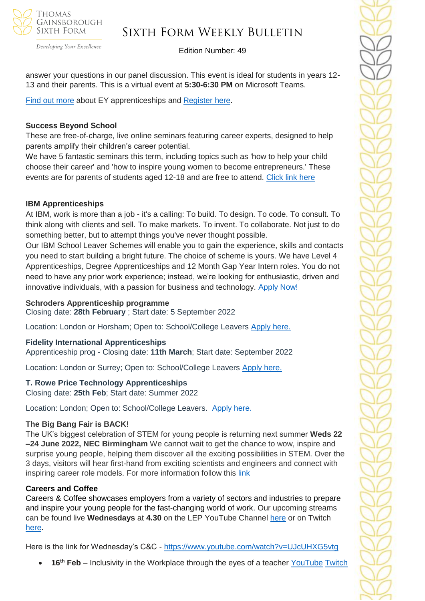

### Sixth Form Weekly Bulletin

Edition Number: 49

answer your questions in our panel discussion. This event is ideal for students in years 12- 13 and their parents. This is a virtual event at **5:30-6:30 PM** on Microsoft Teams.

[Find out more](https://www.ey.com/en_uk/careers/students/programmes/schools) about EY apprenticeships and [Register here.](https://forms.integrate-events.com/#/events/ey/327587?type=preregister&background=ffffff&font=2e2e38&page=2e2e38)

### **Success Beyond School**

These are free-of-charge, live online seminars featuring career experts, designed to help parents amplify their children's career potential.

We have 5 fantastic seminars this term, including topics such as 'how to help your child choose their career' and 'how to inspire young women to become entrepreneurs.' These events are for parents of students aged 12-18 and are free to attend. [Click link here](https://investin.org/pages/parent-events?mc_cid=9c80b43ed8&mc_eid=1348b989f1)

### **IBM Apprenticeships**

At IBM, work is more than a job - it's a calling: To build. To design. To code. To consult. To think along with clients and sell. To make markets. To invent. To collaborate. Not just to do something better, but to attempt things you've never thought possible.

Our IBM School Leaver Schemes will enable you to gain the experience, skills and contacts you need to start building a bright future. The choice of scheme is yours. We have Level 4 Apprenticeships, Degree Apprenticeships and 12 Month Gap Year Intern roles. You do not need to have any prior work experience; instead, we're looking for enthusiastic, driven and innovative individuals, with a passion for business and technology. [Apply Now!](https://www.ibm.com/uk-en/employment/entrylevel/?utm_source=Success+at+school+&utm_medium=Email+&utm_campaign=NAW+campaign+)

#### **Schroders Apprenticeship programme**

Closing date: **28th February** ; Start date: 5 September 2022

Location: London or Horsham; Open to: School/College Leavers [Apply here.](https://www.investment2020.org.uk/latest-jobs/?_sfm_job_employer_link=3123&utm_campaign=3085671_NAW%20DITL%2007%2002%202021&utm_medium=email&utm_source=The%20Investment%20Association%20Service%20Limited&dm_i=2MCA,1U4X3,A34A8X,6DDHX,1)

### **Fidelity International Apprenticeships**

Apprenticeship prog - Closing date: **11th March**; Start date: September 2022

Location: London or Surrey; Open to: School/College Leavers [Apply here.](https://www.investment2020.org.uk/latest-jobs/?_sft_job_type=school-college-leaver&_sfm_job_employer_link=3067&utm_campaign=3085671_NAW%20DITL%2007%2002%202021&utm_medium=email&utm_source=The%20Investment%20Association%20Service%20Limited&dm_i=2MCA,1U4X3,A34A8X,6DDHX,1)

### **T. Rowe Price Technology Apprenticeships**

Closing date: **25th Feb**; Start date: Summer 2022

Location: London; Open to: School/College Leavers. [Apply here.](https://www.investment2020.org.uk/latest-jobs/?_sf_s=apprentice&_sft_job_type=school-college-leaver&_sfm_job_employer_link=3129&utm_campaign=3085671_NAW%20DITL%2007%2002%202021&utm_medium=email&utm_source=The%20Investment%20Association%20Service%20Limited&dm_i=2MCA,1U4X3,A34A8X,6DDHX,1)

#### **The Big Bang Fair is BACK!**

The UK's biggest celebration of STEM for young people is returning next summer **Weds 22 –24 June 2022, NEC Birmingham** We cannot wait to get the chance to wow, inspire and surprise young people, helping them discover all the exciting possibilities in STEM. Over the 3 days, visitors will hear first-hand from exciting scientists and engineers and connect with inspiring career role models. For more information follow this [link](https://www.thebigbang.org.uk/)

### **Careers and Coffee**

Careers & Coffee showcases employers from a variety of sectors and industries to prepare and inspire your young people for the fast-changing world of work. Our upcoming streams can be found live **Wednesdays** at **4.30** on the LEP YouTube Channel [here](https://emea01.safelinks.protection.outlook.com/?url=https%3A%2F%2Fwww.youtube.com%2Fchannel%2FUCMQWGt6SdsGQF-KJCq7JTwQ&data=04%7C01%7C%7C4c6c44ecc3fb4f20ff7908d9db3b3618%7C84df9e7fe9f640afb435aaaaaaaaaaaa%7C1%7C0%7C637781869767327633%7CUnknown%7CTWFpbGZsb3d8eyJWIjoiMC4wLjAwMDAiLCJQIjoiV2luMzIiLCJBTiI6Ik1haWwiLCJXVCI6Mn0%3D%7C3000&sdata=jcnjPssNA6CGryLNqRJMQzfb7UnLUOJ3WUdL%2FnQhejw%3D&reserved=0) or on Twitch [here.](https://emea01.safelinks.protection.outlook.com/?url=https%3A%2F%2Fwww.twitch.tv%2FNewAngliaEAN&data=04%7C01%7C%7C4c6c44ecc3fb4f20ff7908d9db3b3618%7C84df9e7fe9f640afb435aaaaaaaaaaaa%7C1%7C0%7C637781869767327633%7CUnknown%7CTWFpbGZsb3d8eyJWIjoiMC4wLjAwMDAiLCJQIjoiV2luMzIiLCJBTiI6Ik1haWwiLCJXVCI6Mn0%3D%7C3000&sdata=%2BC%2F2NVk7rCN9nN0gPB86AdBavn%2BdywBz%2FR1nbIo0XG8%3D&reserved=0)

Here is the link for Wednesday's C&C - [https://www.youtube.com/watch?v=UJcUHXG5vtg](https://emea01.safelinks.protection.outlook.com/?url=https%3A%2F%2Fwww.youtube.com%2Fwatch%3Fv%3DUJcUHXG5vtg&data=04%7C01%7C%7C4c6c44ecc3fb4f20ff7908d9db3b3618%7C84df9e7fe9f640afb435aaaaaaaaaaaa%7C1%7C0%7C637781869767327633%7CUnknown%7CTWFpbGZsb3d8eyJWIjoiMC4wLjAwMDAiLCJQIjoiV2luMzIiLCJBTiI6Ik1haWwiLCJXVCI6Mn0%3D%7C3000&sdata=QmwZMfWApfz3NYzqKGZdNMm6DnYKNSnpPCkWXQ5qlMw%3D&reserved=0)

• **16th Feb** – Inclusivity in the Workplace through the eyes of a teacher [YouTube](https://emea01.safelinks.protection.outlook.com/?url=https%3A%2F%2Fwww.youtube.com%2Fwatch%3Fv%3D_1waoo6Q-oM&data=04%7C01%7C%7C4c6c44ecc3fb4f20ff7908d9db3b3618%7C84df9e7fe9f640afb435aaaaaaaaaaaa%7C1%7C0%7C637781869767327633%7CUnknown%7CTWFpbGZsb3d8eyJWIjoiMC4wLjAwMDAiLCJQIjoiV2luMzIiLCJBTiI6Ik1haWwiLCJXVCI6Mn0%3D%7C3000&sdata=x2K84Tk9BSdgkCfPA9ZYvseFNECH1mBMU%2Fs4JUfMxyI%3D&reserved=0) [Twitch](https://emea01.safelinks.protection.outlook.com/?url=https%3A%2F%2Fwww.twitch.tv%2FNewAngliaEAN&data=04%7C01%7C%7C4c6c44ecc3fb4f20ff7908d9db3b3618%7C84df9e7fe9f640afb435aaaaaaaaaaaa%7C1%7C0%7C637781869767327633%7CUnknown%7CTWFpbGZsb3d8eyJWIjoiMC4wLjAwMDAiLCJQIjoiV2luMzIiLCJBTiI6Ik1haWwiLCJXVCI6Mn0%3D%7C3000&sdata=%2BC%2F2NVk7rCN9nN0gPB86AdBavn%2BdywBz%2FR1nbIo0XG8%3D&reserved=0)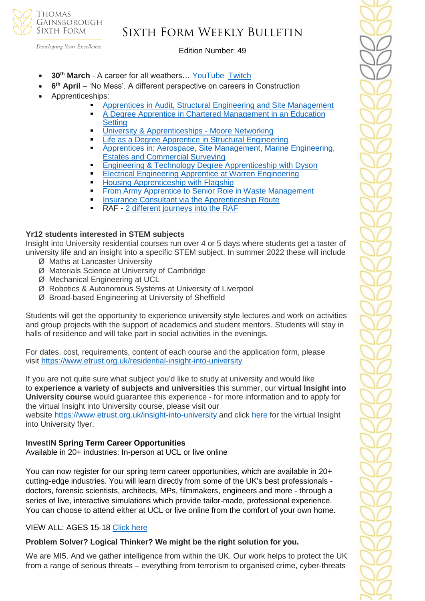

### Sixth Form Weekly Bulletin

Edition Number: 49

- **30th March** A career for all weathers… YouTube [Twitch](https://emea01.safelinks.protection.outlook.com/?url=https%3A%2F%2Fwww.twitch.tv%2FNewAngliaEAN&data=04%7C01%7C%7C4c6c44ecc3fb4f20ff7908d9db3b3618%7C84df9e7fe9f640afb435aaaaaaaaaaaa%7C1%7C0%7C637781869767327633%7CUnknown%7CTWFpbGZsb3d8eyJWIjoiMC4wLjAwMDAiLCJQIjoiV2luMzIiLCJBTiI6Ik1haWwiLCJXVCI6Mn0%3D%7C3000&sdata=%2BC%2F2NVk7rCN9nN0gPB86AdBavn%2BdywBz%2FR1nbIo0XG8%3D&reserved=0)
- **6<sup>th</sup> April** 'No Mess'. A different perspective on careers in Construction
- Apprenticeships:
	- [Apprentices in Audit, Structural Engineering and Site Management](https://emea01.safelinks.protection.outlook.com/?url=https%3A%2F%2Fwww.youtube.com%2Fwatch%3Fv%3DbP28OaI_rog%26t%3D81s&data=04%7C01%7C%7C5109108ec3cc49416da408d9ebb534ac%7C84df9e7fe9f640afb435aaaaaaaaaaaa%7C1%7C0%7C637799986632681984%7CUnknown%7CTWFpbGZsb3d8eyJWIjoiMC4wLjAwMDAiLCJQIjoiV2luMzIiLCJBTiI6Ik1haWwiLCJXVCI6Mn0%3D%7C3000&sdata=8G1NNuPcwlxbhAXk1h1joPDO3UiT6van66qwpD8%2FoC4%3D&reserved=0)
	- A Degree Apprentice in Chartered Management in an Education **[Setting](https://emea01.safelinks.protection.outlook.com/?url=https%3A%2F%2Fwww.youtube.com%2Fwatch%3Fv%3DfQgNp9cnvsg%26t%3D531s&data=04%7C01%7C%7C5109108ec3cc49416da408d9ebb534ac%7C84df9e7fe9f640afb435aaaaaaaaaaaa%7C1%7C0%7C637799986632681984%7CUnknown%7CTWFpbGZsb3d8eyJWIjoiMC4wLjAwMDAiLCJQIjoiV2luMzIiLCJBTiI6Ik1haWwiLCJXVCI6Mn0%3D%7C3000&sdata=%2BM0O8t0PUKKlkrVXRi9QtjZpkmo2zeeXfNgMwmf%2FCnc%3D&reserved=0)**
	- [University & Apprenticeships -](https://emea01.safelinks.protection.outlook.com/?url=https%3A%2F%2Fwww.youtube.com%2Fwatch%3Fv%3DZfxilCuhimc&data=04%7C01%7C%7C5109108ec3cc49416da408d9ebb534ac%7C84df9e7fe9f640afb435aaaaaaaaaaaa%7C1%7C0%7C637799986632681984%7CUnknown%7CTWFpbGZsb3d8eyJWIjoiMC4wLjAwMDAiLCJQIjoiV2luMzIiLCJBTiI6Ik1haWwiLCJXVCI6Mn0%3D%7C3000&sdata=L%2F30sHu2x11QFYLWN8pi2TeOCFYCNfigwlu983NCRhs%3D&reserved=0) Moore Networking
	- **Example 2** [Life as a Degree Apprentice in Structural Engineering](https://emea01.safelinks.protection.outlook.com/?url=https%3A%2F%2Fwww.youtube.com%2Fwatch%3Fv%3Dptse61NxTv4&data=04%7C01%7C%7C5109108ec3cc49416da408d9ebb534ac%7C84df9e7fe9f640afb435aaaaaaaaaaaa%7C1%7C0%7C637799986632838206%7CUnknown%7CTWFpbGZsb3d8eyJWIjoiMC4wLjAwMDAiLCJQIjoiV2luMzIiLCJBTiI6Ik1haWwiLCJXVCI6Mn0%3D%7C3000&sdata=VtVFu9nMiv2JdT7sWfFLQzGzFktjw6M4iXyPGuo2Alg%3D&reserved=0)
	- **Apprentices in: Aerospace, Site Management, Marine Engineering,** [Estates and Commercial Surveying](https://emea01.safelinks.protection.outlook.com/?url=https%3A%2F%2Fwww.youtube.com%2Fwatch%3Fv%3DqtRlq0ADx7o%26t%3D14s&data=04%7C01%7C%7C5109108ec3cc49416da408d9ebb534ac%7C84df9e7fe9f640afb435aaaaaaaaaaaa%7C1%7C0%7C637799986632838206%7CUnknown%7CTWFpbGZsb3d8eyJWIjoiMC4wLjAwMDAiLCJQIjoiV2luMzIiLCJBTiI6Ik1haWwiLCJXVCI6Mn0%3D%7C3000&sdata=Rt20B7Q8P5%2Fwbi40nfE3BySWts1iWqQxp0oebyRDpag%3D&reserved=0)
	- **[Engineering & Technology Degree Apprenticeship with Dyson](https://emea01.safelinks.protection.outlook.com/?url=https%3A%2F%2Fwww.youtube.com%2Fwatch%3Fv%3DVtgI_wa7MGA&data=04%7C01%7C%7C5109108ec3cc49416da408d9ebb534ac%7C84df9e7fe9f640afb435aaaaaaaaaaaa%7C1%7C0%7C637799986632838206%7CUnknown%7CTWFpbGZsb3d8eyJWIjoiMC4wLjAwMDAiLCJQIjoiV2luMzIiLCJBTiI6Ik1haWwiLCJXVCI6Mn0%3D%7C3000&sdata=61EVH3iDqDdzqCKQOfA5bLklrKkfWvYy3D97DwV53mU%3D&reserved=0)**
	- **[Electrical Engineering Apprentice at Warren Engineering](https://emea01.safelinks.protection.outlook.com/?url=https%3A%2F%2Fwww.youtube.com%2Fwatch%3Fv%3DIS8-9CnqSXo%26t%3D36s&data=04%7C01%7C%7C5109108ec3cc49416da408d9ebb534ac%7C84df9e7fe9f640afb435aaaaaaaaaaaa%7C1%7C0%7C637799986632838206%7CUnknown%7CTWFpbGZsb3d8eyJWIjoiMC4wLjAwMDAiLCJQIjoiV2luMzIiLCJBTiI6Ik1haWwiLCJXVCI6Mn0%3D%7C3000&sdata=cM7hsbe3eV%2BEP7xjNUcgPuTvpt3O4ntW%2BKsHUsqiOro%3D&reserved=0)**
	- **[Housing Apprenticeship with Flagship](https://emea01.safelinks.protection.outlook.com/?url=https%3A%2F%2Fwww.youtube.com%2Fwatch%3Fv%3DOOMdZmDV96E%26t%3D28s&data=04%7C01%7C%7C5109108ec3cc49416da408d9ebb534ac%7C84df9e7fe9f640afb435aaaaaaaaaaaa%7C1%7C0%7C637799986632838206%7CUnknown%7CTWFpbGZsb3d8eyJWIjoiMC4wLjAwMDAiLCJQIjoiV2luMzIiLCJBTiI6Ik1haWwiLCJXVCI6Mn0%3D%7C3000&sdata=P6LHoz81YIvEyZHfyd5W%2FQ9SuCSSvCbR3%2F%2F%2Bc%2BiHlO8%3D&reserved=0)**
	- [From Army Apprentice to Senior Role in Waste Management](https://emea01.safelinks.protection.outlook.com/?url=https%3A%2F%2Fwww.youtube.com%2Fwatch%3Fv%3Dvzm3k193P9I&data=04%7C01%7C%7C5109108ec3cc49416da408d9ebb534ac%7C84df9e7fe9f640afb435aaaaaaaaaaaa%7C1%7C0%7C637799986632838206%7CUnknown%7CTWFpbGZsb3d8eyJWIjoiMC4wLjAwMDAiLCJQIjoiV2luMzIiLCJBTiI6Ik1haWwiLCJXVCI6Mn0%3D%7C3000&sdata=u9wunar3hAqC5aTfJTeVL8jFwD8oxVeVFRExKOCezbM%3D&reserved=0)
	- **[Insurance Consultant via the Apprenticeship Route](https://emea01.safelinks.protection.outlook.com/?url=https%3A%2F%2Fwww.youtube.com%2Fwatch%3Fv%3DUJcUHXG5vtg&data=04%7C01%7C%7C5109108ec3cc49416da408d9ebb534ac%7C84df9e7fe9f640afb435aaaaaaaaaaaa%7C1%7C0%7C637799986632838206%7CUnknown%7CTWFpbGZsb3d8eyJWIjoiMC4wLjAwMDAiLCJQIjoiV2luMzIiLCJBTiI6Ik1haWwiLCJXVCI6Mn0%3D%7C3000&sdata=N4Wuv30G8XH01kE4lhnmIHPw7j08tFxuXgq3Kb%2FelJE%3D&reserved=0)**
	- RAF [2 different journeys into the RAF](https://emea01.safelinks.protection.outlook.com/?url=https%3A%2F%2Fwww.youtube.com%2Fwatch%3Fv%3DyterDdCZvDc&data=04%7C01%7C%7C5109108ec3cc49416da408d9ebb534ac%7C84df9e7fe9f640afb435aaaaaaaaaaaa%7C1%7C0%7C637799986632838206%7CUnknown%7CTWFpbGZsb3d8eyJWIjoiMC4wLjAwMDAiLCJQIjoiV2luMzIiLCJBTiI6Ik1haWwiLCJXVCI6Mn0%3D%7C3000&sdata=dhuzb6CyRYL52MzK43rw60TAHKzC0ZqyZpbNuWD4A2Y%3D&reserved=0)

### **Yr12 students interested in STEM subjects**

Insight into University residential courses run over 4 or 5 days where students get a taster of university life and an insight into a specific STEM subject. In summer 2022 these will include Ø Maths at Lancaster University

- 
- Ø Materials Science at University of Cambridge
- Ø Mechanical Engineering at UCL
- Ø Robotics & Autonomous Systems at University of Liverpool
- Ø Broad-based Engineering at University of Sheffield

Students will get the opportunity to experience university style lectures and work on activities and group projects with the support of academics and student mentors. Students will stay in halls of residence and will take part in social activities in the evenings.

For dates, cost, requirements, content of each course and the application form, please visit <https://www.etrust.org.uk/residential-insight-into-university>

If you are not quite sure what subject you'd like to study at university and would like to **experience a variety of subjects and universities** this summer, our **virtual Insight into University course** would guarantee this experience - for more information and to apply for the virtual Insight into University course, please visit our

website <https://www.etrust.org.uk/insight-into-university> and click [here](https://dd233f6a-c442-4437-a8e1-9e42987b6020.filesusr.com/ugd/4517c8_fcb7add322ae4a1eab2156347e1f2442.pdf) for the virtual Insight into University flyer.

### **InvestIN Spring Term Career Opportunities**

Available in 20+ industries: In-person at UCL or live online

You can now register for our spring term career opportunities, which are available in 20+ cutting-edge industries. You will learn directly from some of the UK's best professionals doctors, forensic scientists, architects, MPs, filmmakers, engineers and more - through a series of live, interactive simulations which provide tailor-made, professional experience. You can choose to attend either at UCL or live online from the comfort of your own home.

### VIEW ALL: AGES 15-18 [Click here](https://investin.org/pages/spring-term-career-programmes-15-18?utm_source=UK+SCHOOLS+MASTER&utm_campaign=3b31a67736-bankersschoolmar_COPY_01&utm_medium=email&utm_term=0_bfccb03bbd-3b31a67736-137697031&mc_cid=3b31a67736&mc_eid=894e4199ae)

### **Problem Solver? Logical Thinker? We might be the right solution for you.**

We are MI5. And we gather intelligence from within the UK. Our work helps to protect the UK from a range of serious threats – everything from terrorism to organised crime, cyber-threats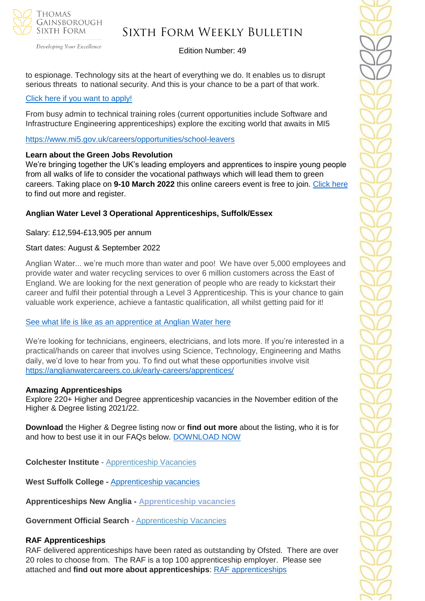

Developing Your Excellence

### Edition Number: 49

to espionage. Technology sits at the heart of everything we do. It enables us to disrupt serious threats to national security. And this is your chance to be a part of that work.

### [Click here if you want to apply!](https://recruitmentservices.applicationtrack.com/vx/lang-en-GB/mobile-0/appcentre-1/brand-5/user-2637141/candidate/so/pm/1/pl/4/opp/2447?adhoc_referrer=544309827)

From busy admin to technical training roles (current opportunities include Software and Infrastructure Engineering apprenticeships) explore the exciting world that awaits in MI5

[https://www.mi5.gov.uk/careers/opportunities/school-leavers](https://emea01.safelinks.protection.outlook.com/?url=https%3A%2F%2Fwww.mi5.gov.uk%2Fcareers%2Fopportunities%2Fschool-leavers&data=04%7C01%7C%7Cc66eba9eb3f947cbd59408d9e0d9f0c2%7C84df9e7fe9f640afb435aaaaaaaaaaaa%7C1%7C0%7C637788048944962071%7CUnknown%7CTWFpbGZsb3d8eyJWIjoiMC4wLjAwMDAiLCJQIjoiV2luMzIiLCJBTiI6Ik1haWwiLCJXVCI6Mn0%3D%7C3000&sdata=RuQR14%2FCgrNgq9sikvv3JTr7AkvZ1KyExNIWpWf5yic%3D&reserved=0)

### **Learn about the Green Jobs Revolution**

We're bringing together the UK's leading employers and apprentices to inspire young people from all walks of life to consider the vocational pathways which will lead them to green careers. Taking place on **9-10 March 2022** this online careers event is free to join. [Click here](https://www.worldskillsuk.org/careers-advice/spotlight-talks-inspiring-careers-excellence/?utm_source=MailChimp&utm_medium=Educator_email&utm_campaign=Spotlight&utm_source=WorldSkills+UK+Newsletter&utm_campaign=bb6aef8afc-EMAIL_CAMPAIGN_2019_12_10_03_37_COPY_01&utm_medium=email&utm_term=0_844496feda-bb6aef8afc-146077034) to find out more and register.

### **Anglian Water Level 3 Operational Apprenticeships, Suffolk/Essex**

Salary: £12,594-£13,905 per annum

### Start dates: August & September 2022

Anglian Water... we're much more than water and poo! We have over 5,000 employees and provide water and water recycling services to over 6 million customers across the East of England. We are looking for the next generation of people who are ready to kickstart their career and fulfil their potential through a Level 3 Apprenticeship. This is your chance to gain valuable work experience, achieve a fantastic qualification, all whilst getting paid for it!

### [See what life is like as an apprentice at Anglian](https://youtu.be/ocHab1ZNOjA) Water here

We're looking for technicians, engineers, electricians, and lots more. If you're interested in a practical/hands on career that involves using Science, Technology, Engineering and Maths daily, we'd love to hear from you. To find out what these opportunities involve visit <https://anglianwatercareers.co.uk/early-careers/apprentices/>

### **Amazing Apprenticeships**

Explore 220+ Higher and Degree apprenticeship vacancies in the November edition of the Higher & Degree listing 2021/22.

**Download** the Higher & Degree listing now or **find out more** about the listing, who it is for and how to best use it in our FAQs below. [DOWNLOAD NOW](https://amazingapprenticeships.com/resource/higher-and-degree-listing/)

**Colchester Institute** - Apprenticeship Vacancies

**West Suffolk College -** [Apprenticeship vacancies](https://www.wsc.ac.uk/find-a-course/apprenticeships)

**Apprenticeships New Anglia - [Apprenticeship vacancies](https://www.apprenticeshipsnewanglia.co.uk/)**

**Government Official Search** - [Apprenticeship Vacancies](https://www.gov.uk/apply-apprenticeship)

### **RAF Apprenticeships**

RAF delivered apprenticeships have been rated as outstanding by Ofsted. There are over 20 roles to choose from. The RAF is a top 100 apprenticeship employer. Please see attached and **find out more about apprenticeships**: [RAF apprenticeships](https://emea01.safelinks.protection.outlook.com/?url=https%3A%2F%2Fwww.raf.mod.uk%2Frecruitment%2Fapprenticeships%3Fgclid%3DEAIaIQobChMI1cvZo8PA9QIVbY1oCR3MZAJNEAAYASABEgI5UfD_BwE%26gclsrc%3Daw.ds&data=04%7C01%7C%7C5109108ec3cc49416da408d9ebb534ac%7C84df9e7fe9f640afb435aaaaaaaaaaaa%7C1%7C0%7C637799986632838206%7CUnknown%7CTWFpbGZsb3d8eyJWIjoiMC4wLjAwMDAiLCJQIjoiV2luMzIiLCJBTiI6Ik1haWwiLCJXVCI6Mn0%3D%7C3000&sdata=ExujmUorbCroA4%2Frvg%2FHpfc6sCVupSMvUGFLEGnaUR0%3D&reserved=0)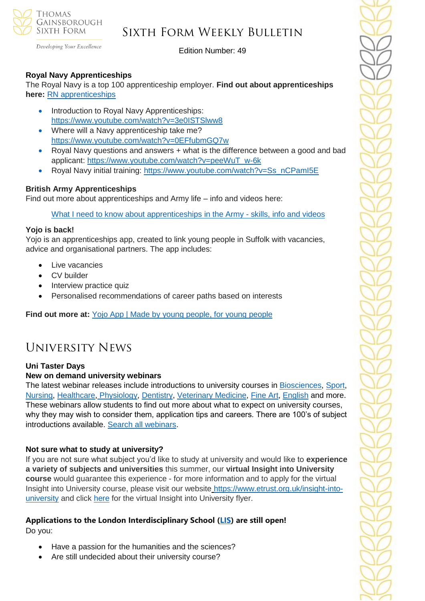

Developing Your Excellence

Edition Number: 49

### **Royal Navy Apprenticeships**

The Royal Navy is a top 100 apprenticeship employer. **Find out about apprenticeships here:** [RN apprenticeships](https://emea01.safelinks.protection.outlook.com/?url=https%3A%2F%2Fwww.royalnavy.mod.uk%2Fcareers%2Flevels-of-entry%2Fapprenticeships%3Fgclid%3DEAIaIQobChMIweOegL_A9QIVEbLVCh0cwgsZEAAYASAAEgKRdPD_BwE%26gclsrc%3Daw.ds&data=04%7C01%7C%7C5109108ec3cc49416da408d9ebb534ac%7C84df9e7fe9f640afb435aaaaaaaaaaaa%7C1%7C0%7C637799986632838206%7CUnknown%7CTWFpbGZsb3d8eyJWIjoiMC4wLjAwMDAiLCJQIjoiV2luMzIiLCJBTiI6Ik1haWwiLCJXVCI6Mn0%3D%7C3000&sdata=3iUqBAmY7e2FIP9AZdHQDXerElShM9IMu8nrXRs25rY%3D&reserved=0)

- Introduction to Royal Navy Apprenticeships: [https://www.youtube.com/watch?v=3e0ISTSlww8](https://emea01.safelinks.protection.outlook.com/?url=https%3A%2F%2Fwww.youtube.com%2Fwatch%3Fv%3D3e0ISTSlww8&data=04%7C01%7C%7C5109108ec3cc49416da408d9ebb534ac%7C84df9e7fe9f640afb435aaaaaaaaaaaa%7C1%7C0%7C637799986632838206%7CUnknown%7CTWFpbGZsb3d8eyJWIjoiMC4wLjAwMDAiLCJQIjoiV2luMzIiLCJBTiI6Ik1haWwiLCJXVCI6Mn0%3D%7C3000&sdata=bObS9LxuGK0QUPjFipc7TpgbhS%2FBOj3jh2A0zMqcpqc%3D&reserved=0)
- Where will a Navy apprenticeship take me? [https://www.youtube.com/watch?v=0EFfubmGQ7w](https://emea01.safelinks.protection.outlook.com/?url=https%3A%2F%2Fwww.youtube.com%2Fwatch%3Fv%3D0EFfubmGQ7w&data=04%7C01%7C%7C5109108ec3cc49416da408d9ebb534ac%7C84df9e7fe9f640afb435aaaaaaaaaaaa%7C1%7C0%7C637799986632838206%7CUnknown%7CTWFpbGZsb3d8eyJWIjoiMC4wLjAwMDAiLCJQIjoiV2luMzIiLCJBTiI6Ik1haWwiLCJXVCI6Mn0%3D%7C3000&sdata=unRpMJbduJcQdr3btz8biYwvP59f4daMiPwJ%2Bi5f1l4%3D&reserved=0)
- Royal Navy questions and answers + what is the difference between a good and bad applicant: [https://www.youtube.com/watch?v=peeWuT\\_w-6k](https://emea01.safelinks.protection.outlook.com/?url=https%3A%2F%2Fwww.youtube.com%2Fwatch%3Fv%3DpeeWuT_w-6k&data=04%7C01%7C%7C5109108ec3cc49416da408d9ebb534ac%7C84df9e7fe9f640afb435aaaaaaaaaaaa%7C1%7C0%7C637799986632838206%7CUnknown%7CTWFpbGZsb3d8eyJWIjoiMC4wLjAwMDAiLCJQIjoiV2luMzIiLCJBTiI6Ik1haWwiLCJXVCI6Mn0%3D%7C3000&sdata=2CZHRBVpKndnzKkDF6KbQ8wW5Z6Iu%2BZZ8Fd1oGR8GtI%3D&reserved=0)
- Royal Navy initial training: [https://www.youtube.com/watch?v=Ss\\_nCPamI5E](https://emea01.safelinks.protection.outlook.com/?url=https%3A%2F%2Fwww.youtube.com%2Fwatch%3Fv%3DSs_nCPamI5E&data=04%7C01%7C%7C5109108ec3cc49416da408d9ebb534ac%7C84df9e7fe9f640afb435aaaaaaaaaaaa%7C1%7C0%7C637799986632838206%7CUnknown%7CTWFpbGZsb3d8eyJWIjoiMC4wLjAwMDAiLCJQIjoiV2luMzIiLCJBTiI6Ik1haWwiLCJXVCI6Mn0%3D%7C3000&sdata=AjVp0aAK2oQdjC%2FQkMw1gViAgihXQxUPXqu65KkTD%2Bg%3D&reserved=0)

### **British Army Apprenticeships**

Find out more about apprenticeships and Army life – info and videos here:

[What I need to know about apprenticeships in the Army -](https://emea01.safelinks.protection.outlook.com/?url=https%3A%2F%2Fapply.army.mod.uk%2Fwhat-we-offer%2Fregular-soldier%2Fapprenticeships-and-skills%3Fgclid%3DEAIaIQobChMI24eTtcTA9QIV5ZBoCR224Q3kEAAYASAAEgJOw_D_BwE%26cid%3Dsemp8317730851%26ef_id%3DEAIaIQobChMI24eTtcTA9QIV5ZBoCR224Q3kEAAYASAAEgJOw_D_BwE%253aG%253as%26s_kwcid%3DAL!8141!3!356143047273!e!!g!!army%2Bapprenticeships%26gclsrc%3Daw.ds&data=04%7C01%7C%7C5109108ec3cc49416da408d9ebb534ac%7C84df9e7fe9f640afb435aaaaaaaaaaaa%7C1%7C0%7C637799986632838206%7CUnknown%7CTWFpbGZsb3d8eyJWIjoiMC4wLjAwMDAiLCJQIjoiV2luMzIiLCJBTiI6Ik1haWwiLCJXVCI6Mn0%3D%7C3000&sdata=ZqD8QVwxA%2BUaYNDhUEGh51KEidvcgWyumZ8S4oiCHmU%3D&reserved=0) skills, info and videos

### **Yojo is back!**

Yojo is an apprenticeships app, created to link young people in Suffolk with vacancies, advice and organisational partners. The app includes:

- Live vacancies
- CV builder
- Interview practice quiz
- Personalised recommendations of career paths based on interests

**Find out more at:** [Yojo App | Made by young people, for young people](https://emea01.safelinks.protection.outlook.com/?url=https%3A%2F%2Fyojoapp.co.uk%2F&data=04%7C01%7C%7C4c6c44ecc3fb4f20ff7908d9db3b3618%7C84df9e7fe9f640afb435aaaaaaaaaaaa%7C1%7C0%7C637781869767483855%7CUnknown%7CTWFpbGZsb3d8eyJWIjoiMC4wLjAwMDAiLCJQIjoiV2luMzIiLCJBTiI6Ik1haWwiLCJXVCI6Mn0%3D%7C3000&sdata=9WtYUB305aPkl6q46VQFnWxhGcaNixIyQ7zb9qHytQc%3D&reserved=0)

### University News

#### **Uni Taster Days**

#### **New on demand university webinars**

The latest webinar releases include introductions to university courses in [Biosciences,](https://www.unitasterdays.com/ondemand/webinar/161/a-guide-to-studying-biosciences-courses-at-university-which-bioscience-course-is-right-for-you-featuring-coventry-university) [Sport,](https://www.unitasterdays.com/ondemand/webinar/160/studying-sport-courses-at-university-which-sport-course-is-right-for-you-a-guide-to-the-key-courses-on-offer-in-the-sport-subject-area-featuring-coventry-university) [Nursing,](https://www.unitasterdays.com/ondemand/webinar/159/a-guide-to-studying-nursing-at-university-and-training-for-a-nursing-career-what-to-expect-application-tips-and-more-featuring-the-university-of-lincoln) [Healthcare,](https://www.unitasterdays.com/ondemand/webinar/158/a-guide-to-studying-healthcare-science-and-ophthalmic-imaging-at-university-featuring-the-university-of-gloucestershire-and-gloucestershire-hospitals-nhs-foundation-trust) [Physiology,](https://www.unitasterdays.com/ondemand/webinar/145/a-guide-to-studying-physiology-at-university-including-what-to-expect-reasons-to-consider-the-subject-area-and-a-careers-overview-featuring-manchester-metropolitan-university) [Dentistry, Veterinary](https://www.unitasterdays.com/ondemand/webinar/151/a-guide-to-studying-dentistry-at-university-including-what-to-expect-a-guide-to-opportunities-in-dentistry-application-tips-and-more-featuring-the-university-of-leeds) Medicine, [Fine Art,](https://www.unitasterdays.com/ondemand/webinar/156/a-guide-to-studying-fine-art-at-university-including-what-to-expect-application-tips-inc-portfolios-and-a-careers-overview-featuring-plymouth-college-of-art) [English](https://www.unitasterdays.com/ondemand/webinar/144/a-guide-to-studying-english-at-university-including-what-to-expect-application-tips-and-future-career-opportunities-featuring-city-university-of-london) and more. These webinars allow students to find out more about what to expect on university courses, why they may wish to consider them, application tips and careers. There are 100's of subject introductions available. [Search all webinars.](https://www.unitasterdays.com/ondemand)

#### **Not sure what to study at university?**

If you are not sure what subject you'd like to study at university and would like to **experience a variety of subjects and universities** this summer, our **virtual Insight into University course** would guarantee this experience - for more information and to apply for the virtual Insight into University course, please visit our website [https://www.etrust.org.uk/insight-into](https://www.etrust.org.uk/insight-into-university)[university](https://www.etrust.org.uk/insight-into-university) and click [here](https://dd233f6a-c442-4437-a8e1-9e42987b6020.filesusr.com/ugd/4517c8_fcb7add322ae4a1eab2156347e1f2442.pdf) for the virtual Insight into University flyer.

### **Applications to the London Interdisciplinary School [\(LIS\)](https://emea01.safelinks.protection.outlook.com/?url=https%3A%2F%2Fschools.tecl.co.uk%2Feducationcompany5lz%2Flz.aspx%3Fp1%3DMuzDU3NjA0MjA1Uzk0NzE6NkYwQjdEMTg3QzdEMTdCODZFRjcxMENBNDUyNEYwN0M%253d-%26CC%3D%26w%3D5511&data=04%7C01%7C%7C39fcd5037de64b1f134108d9db3b46e6%7C84df9e7fe9f640afb435aaaaaaaaaaaa%7C1%7C0%7C637781869903019097%7CUnknown%7CTWFpbGZsb3d8eyJWIjoiMC4wLjAwMDAiLCJQIjoiV2luMzIiLCJBTiI6Ik1haWwiLCJXVCI6Mn0%3D%7C3000&sdata=pgQvu53gpi%2Fe%2F8%2BCNPs9L2gikEtVgERhZ9O0%2FbkIqeQ%3D&reserved=0) are still open!**

Do you:

- Have a passion for the humanities and the sciences?
- Are still undecided about their university course?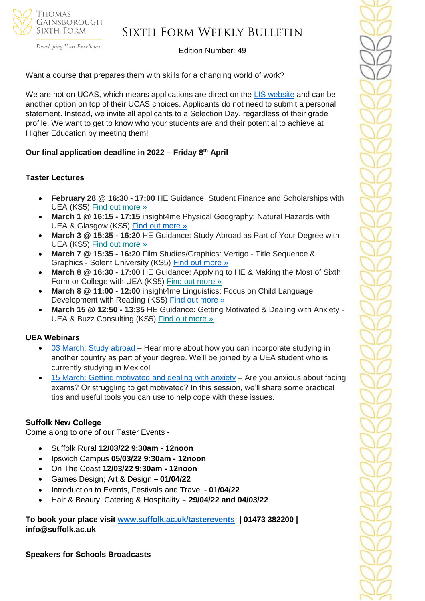

### Sixth Form Weekly Bulletin

Edition Number: 49

Want a course that prepares them with skills for a changing world of work?

We are not on UCAS, which means applications are direct on the [LIS website](https://emea01.safelinks.protection.outlook.com/?url=https%3A%2F%2Fschools.tecl.co.uk%2Feducationcompany5lz%2Flz.aspx%3Fp1%3DMuzDU3NjA0MjA1Uzk0NzE6NkYwQjdEMTg3QzdEMTdCODZFRjcxMENBNDUyNEYwN0M%253d-%26CC%3D%26w%3D8515&data=04%7C01%7C%7C39fcd5037de64b1f134108d9db3b46e6%7C84df9e7fe9f640afb435aaaaaaaaaaaa%7C1%7C0%7C637781869903019097%7CUnknown%7CTWFpbGZsb3d8eyJWIjoiMC4wLjAwMDAiLCJQIjoiV2luMzIiLCJBTiI6Ik1haWwiLCJXVCI6Mn0%3D%7C3000&sdata=8Hlbt%2BgSl0U8BdHh3CK1iY0dZPD2WXrFZ8gatSx1i2Q%3D&reserved=0) and can be another option on top of their UCAS choices. Applicants do not need to submit a personal statement. Instead, we invite all applicants to a Selection Day, regardless of their grade profile. We want to get to know who your students are and their potential to achieve at Higher Education by meeting them!

### **Our final application deadline in 2022 – Friday 8th April**

### **Taster Lectures**

- **February 28 @ 16:30 - 17:00** HE Guidance: Student Finance and Scholarships with UEA (KS5) Find out [more](https://channeltalent.us10.list-manage.com/track/click?u=145837fa6843e0c349598322a&id=8a66d43d48&e=155232616c) »
- **March 1 @ 16:15 - 17:15** insight4me Physical Geography: Natural Hazards with UEA & Glasgow (KS5) [Find out more »](https://emea01.safelinks.protection.outlook.com/?url=https%3A%2F%2Fchanneltalent.us10.list-manage.com%2Ftrack%2Fclick%3Fu%3D145837fa6843e0c349598322a%26id%3D7be4939f4d%26e%3Dba0e9a2959&data=04%7C01%7C%7Ca426435c128b4d1e8eaa08d9ebaf60dd%7C84df9e7fe9f640afb435aaaaaaaaaaaa%7C1%7C0%7C637799960760265646%7CUnknown%7CTWFpbGZsb3d8eyJWIjoiMC4wLjAwMDAiLCJQIjoiV2luMzIiLCJBTiI6Ik1haWwiLCJXVCI6Mn0%3D%7C3000&sdata=Dav7XfbniBgPrLGsO6sLJN9s8Huy1SH6etydegNzSnM%3D&reserved=0)
- **March 3 @ 15:35 - 16:20** HE Guidance: Study Abroad as Part of Your Degree with UEA (KS5) Find out [more](https://channeltalent.us10.list-manage.com/track/click?u=145837fa6843e0c349598322a&id=e5493d6bde&e=155232616c) »
- **March 7 @ 15:35 - 16:20** Film Studies/Graphics: Vertigo Title Sequence & Graphics - Solent University (KS5) [Find out more »](https://emea01.safelinks.protection.outlook.com/?url=https%3A%2F%2Fchanneltalent.us10.list-manage.com%2Ftrack%2Fclick%3Fu%3D145837fa6843e0c349598322a%26id%3D1f7ca06635%26e%3Dba0e9a2959&data=04%7C01%7C%7Ca6d2637371c74bb54e3a08d9ebbb190c%7C84df9e7fe9f640afb435aaaaaaaaaaaa%7C1%7C0%7C637800011102113554%7CUnknown%7CTWFpbGZsb3d8eyJWIjoiMC4wLjAwMDAiLCJQIjoiV2luMzIiLCJBTiI6Ik1haWwiLCJXVCI6Mn0%3D%7C3000&sdata=qbnM65V8Dku9kakcaxkE7wzvuybP%2FIL2MgMLF%2B6dky4%3D&reserved=0)
- **March 8 @ 16:30 - 17:00** HE Guidance: Applying to HE & Making the Most of Sixth Form or College with UEA (KS5) Find out [more](https://channeltalent.us10.list-manage.com/track/click?u=145837fa6843e0c349598322a&id=422871e59f&e=155232616c) »
- **March 8 @ 11:00 - 12:00** insight4me Linguistics: Focus on Child Language Development with Reading (KS5) [Find out more »](https://emea01.safelinks.protection.outlook.com/?url=https%3A%2F%2Fchanneltalent.us10.list-manage.com%2Ftrack%2Fclick%3Fu%3D145837fa6843e0c349598322a%26id%3De9685e096e%26e%3D155232616c&data=04%7C01%7C%7C480b1571c5d44caf8ef208d9eba89a6d%7C84df9e7fe9f640afb435aaaaaaaaaaaa%7C1%7C0%7C637799931648476298%7CUnknown%7CTWFpbGZsb3d8eyJWIjoiMC4wLjAwMDAiLCJQIjoiV2luMzIiLCJBTiI6Ik1haWwiLCJXVCI6Mn0%3D%7C3000&sdata=WTgAdrQkX1lGIoupJ3C9raoBowEDIo0pglPmCG5H8fM%3D&reserved=0)
- **March 15 @ 12:50 - 13:35** HE Guidance: Getting Motivated & Dealing with Anxiety UEA & Buzz Consulting (KS5) Find out [more](https://channeltalent.us10.list-manage.com/track/click?u=145837fa6843e0c349598322a&id=63dd3662e5&e=155232616c) »

#### **UEA Webinars**

- [03 March: Study abroad](https://emea01.safelinks.protection.outlook.com/?url=https%3A%2F%2Fwww.channeltalent.co.uk%2Fevent%2Fhe-guidance-study-abroad-as-part-of-your-degree-with-annie-kay-current-students-from-university-of-east-anglia%2F&data=04%7C01%7C%7C83f95f83e5d24573615008d9e4bd2998%7C84df9e7fe9f640afb435aaaaaaaaaaaa%7C1%7C0%7C637792323367442316%7CUnknown%7CTWFpbGZsb3d8eyJWIjoiMC4wLjAwMDAiLCJQIjoiV2luMzIiLCJBTiI6Ik1haWwiLCJXVCI6Mn0%3D%7C3000&sdata=B77gR9qKdDtIVbWlJ6uHlOw6S%2BuHrZ2Bh%2F7zWOC3IWk%3D&reserved=0) Hear more about how you can incorporate studying in another country as part of your degree. We'll be joined by a UEA student who is currently studying in Mexico!
- [15 March: Getting motivated and dealing with anxiety](https://emea01.safelinks.protection.outlook.com/?url=https%3A%2F%2Fwww.channeltalent.co.uk%2Fevent%2Fhe-guidance-life-skills-for-getting-motivated-dealing-with-anxiety-with-university-of-east-anglia-dr-dominique-thompson-from-buzz-consulting-2%2F&data=04%7C01%7C%7C83f95f83e5d24573615008d9e4bd2998%7C84df9e7fe9f640afb435aaaaaaaaaaaa%7C1%7C0%7C637792323367442316%7CUnknown%7CTWFpbGZsb3d8eyJWIjoiMC4wLjAwMDAiLCJQIjoiV2luMzIiLCJBTiI6Ik1haWwiLCJXVCI6Mn0%3D%7C3000&sdata=LimvKahfg1TmoNHNNcIpJ%2BZOLj5QPSGFj2q4Ss0y2oA%3D&reserved=0) Are you anxious about facing exams? Or struggling to get motivated? In this session, we'll share some practical tips and useful tools you can use to help cope with these issues.

### **Suffolk New College**

Come along to one of our Taster Events -

- Suffolk Rural **12/03/22 9:30am - 12noon**
- Ipswich Campus **05/03/22 9:30am - 12noon**
- On The Coast **12/03/22 9:30am - 12noon**
- Games Design; Art & Design **01/04/22**
- Introduction to Events, Festivals and Travel **01/04/22**
- Hair & Beauty; Catering & Hospitality **29/04/22 and 04/03/22**

**To book your place visit [www.suffolk.ac.uk/tasterevents](http://www.suffolk.ac.uk/tasterevents) | 01473 382200 | info@suffolk.ac.uk** 

**Speakers for Schools Broadcasts**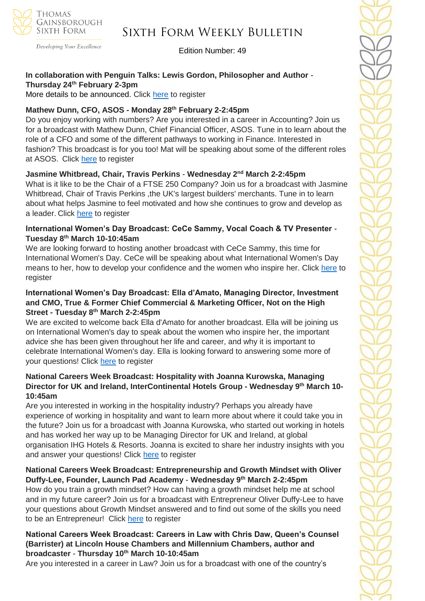

Developing Your Excellence

### Edition Number: 49

### **In collaboration with Penguin Talks: Lewis Gordon, Philosopher and Author** - **Thursday 24th February 2-3pm**

More details to be announced. Click [here](https://emea01.safelinks.protection.outlook.com/?url=https%3A%2F%2Fforms.office.com%2Fr%2FyA4RN8tidB&data=04%7C01%7C%7Ccc49b0041dfb426e905a08d9e6480081%7C84df9e7fe9f640afb435aaaaaaaaaaaa%7C1%7C0%7C637794019213869437%7CUnknown%7CTWFpbGZsb3d8eyJWIjoiMC4wLjAwMDAiLCJQIjoiV2luMzIiLCJBTiI6Ik1haWwiLCJXVCI6Mn0%3D%7C3000&sdata=ZmGcIgzaGT4gaPRzICQjAhApfkIw31M1jyBS10n6e3U%3D&reserved=0) to register

### **Mathew Dunn, CFO, ASOS - Monday 28th February 2-2:45pm**

Do you enjoy working with numbers? Are you interested in a career in Accounting? Join us for a broadcast with Mathew Dunn, Chief Financial Officer, ASOS. Tune in to learn about the role of a CFO and some of the different pathways to working in Finance. Interested in fashion? This broadcast is for you too! Mat will be speaking about some of the different roles at ASOS. Click [here](https://emea01.safelinks.protection.outlook.com/?url=https%3A%2F%2Fforms.office.com%2Fr%2Fd2pv3zEf6W&data=04%7C01%7C%7Ccc49b0041dfb426e905a08d9e6480081%7C84df9e7fe9f640afb435aaaaaaaaaaaa%7C1%7C0%7C637794019213869437%7CUnknown%7CTWFpbGZsb3d8eyJWIjoiMC4wLjAwMDAiLCJQIjoiV2luMzIiLCJBTiI6Ik1haWwiLCJXVCI6Mn0%3D%7C3000&sdata=LGgtQbyQziLicrIdBxeR0vb%2FZlyVCkXnsR1o2vi3x0o%3D&reserved=0) to register

### **Jasmine Whitbread, Chair, Travis Perkins** - **Wednesday 2nd March 2-2:45pm**

What is it like to be the Chair of a FTSE 250 Company? Join us for a broadcast with Jasmine Whitbread, Chair of Travis Perkins ,the UK's largest builders' merchants. Tune in to learn about what helps Jasmine to feel motivated and how she continues to grow and develop as a leader. Click [here](https://emea01.safelinks.protection.outlook.com/?url=https%3A%2F%2Fforms.office.com%2Fr%2F7QNFvvdea7&data=04%7C01%7C%7Ccc49b0041dfb426e905a08d9e6480081%7C84df9e7fe9f640afb435aaaaaaaaaaaa%7C1%7C0%7C637794019213869437%7CUnknown%7CTWFpbGZsb3d8eyJWIjoiMC4wLjAwMDAiLCJQIjoiV2luMzIiLCJBTiI6Ik1haWwiLCJXVCI6Mn0%3D%7C3000&sdata=kQgsvsTg9i%2FjOVkQ4Bg0zvAgtkx0w44q54WyOxyvfmc%3D&reserved=0) to register

### **International Women's Day Broadcast: CeCe Sammy, Vocal Coach & TV Presenter** - **Tuesday 8th March 10-10:45am**

We are looking forward to hosting another broadcast with CeCe Sammy, this time for International Women's Day. CeCe will be speaking about what International Women's Day means to her, how to develop your confidence and the women who inspire her. Click [here](https://emea01.safelinks.protection.outlook.com/?url=https%3A%2F%2Fforms.office.com%2Fr%2FYqfFapgCyZ&data=04%7C01%7C%7Ccc49b0041dfb426e905a08d9e6480081%7C84df9e7fe9f640afb435aaaaaaaaaaaa%7C1%7C0%7C637794019213869437%7CUnknown%7CTWFpbGZsb3d8eyJWIjoiMC4wLjAwMDAiLCJQIjoiV2luMzIiLCJBTiI6Ik1haWwiLCJXVCI6Mn0%3D%7C3000&sdata=sTyERrJthQBQB6Tg778klpM65TbUA7peM%2BXVXa9SaS4%3D&reserved=0) to register

### **International Women's Day Broadcast: Ella d'Amato, Managing Director, Investment and CMO, True & Former Chief Commercial & Marketing Officer, Not on the High Street - Tuesday 8th March 2-2:45pm**

We are excited to welcome back Ella d'Amato for another broadcast. Ella will be joining us on International Women's day to speak about the women who inspire her, the important advice she has been given throughout her life and career, and why it is important to celebrate International Women's day. Ella is looking forward to answering some more of your questions! Click [here](https://emea01.safelinks.protection.outlook.com/?url=https%3A%2F%2Fforms.office.com%2Fr%2FWf5D1mXAh8&data=04%7C01%7C%7Ccc49b0041dfb426e905a08d9e6480081%7C84df9e7fe9f640afb435aaaaaaaaaaaa%7C1%7C0%7C637794019213869437%7CUnknown%7CTWFpbGZsb3d8eyJWIjoiMC4wLjAwMDAiLCJQIjoiV2luMzIiLCJBTiI6Ik1haWwiLCJXVCI6Mn0%3D%7C3000&sdata=g6nyzerKjTx6S1vKK%2BOYPU5Gu24c1YBGy5uCjJTmx1o%3D&reserved=0) to register

### **National Careers Week Broadcast: Hospitality with Joanna Kurowska, Managing Director for UK and Ireland, InterContinental Hotels Group - Wednesday 9th March 10- 10:45am**

Are you interested in working in the hospitality industry? Perhaps you already have experience of working in hospitality and want to learn more about where it could take you in the future? Join us for a broadcast with Joanna Kurowska, who started out working in hotels and has worked her way up to be Managing Director for UK and Ireland, at global organisation IHG Hotels & Resorts. Joanna is excited to share her industry insights with you and answer your questions! Click [here](https://emea01.safelinks.protection.outlook.com/?url=https%3A%2F%2Fforms.office.com%2Fr%2FUxa2KMdLGk&data=04%7C01%7C%7Ccc49b0041dfb426e905a08d9e6480081%7C84df9e7fe9f640afb435aaaaaaaaaaaa%7C1%7C0%7C637794019213869437%7CUnknown%7CTWFpbGZsb3d8eyJWIjoiMC4wLjAwMDAiLCJQIjoiV2luMzIiLCJBTiI6Ik1haWwiLCJXVCI6Mn0%3D%7C3000&sdata=c0%2B5DzhV2sDxGWnF4ymrLQzmC8Z6QzIFP53blrnrWmc%3D&reserved=0) to register

### **National Careers Week Broadcast: Entrepreneurship and Growth Mindset with Oliver Duffy-Lee, Founder, Launch Pad Academy** - **Wednesday 9th March 2-2:45pm**

How do you train a growth mindset? How can having a growth mindset help me at school and in my future career? Join us for a broadcast with Entrepreneur Oliver Duffy-Lee to have your questions about Growth Mindset answered and to find out some of the skills you need to be an Entrepreneur! Click [here](https://emea01.safelinks.protection.outlook.com/?url=https%3A%2F%2Fforms.office.com%2Fr%2Fy8z9CMeN2d&data=04%7C01%7C%7Ccc49b0041dfb426e905a08d9e6480081%7C84df9e7fe9f640afb435aaaaaaaaaaaa%7C1%7C0%7C637794019213869437%7CUnknown%7CTWFpbGZsb3d8eyJWIjoiMC4wLjAwMDAiLCJQIjoiV2luMzIiLCJBTiI6Ik1haWwiLCJXVCI6Mn0%3D%7C3000&sdata=AHQ5k4BfAT8n4nhxoP8NIMhK8JNdGf1PtrH08AZUe8c%3D&reserved=0) to register

### **National Careers Week Broadcast: Careers in Law with Chris Daw, Queen's Counsel (Barrister) at Lincoln House Chambers and Millennium Chambers, author and broadcaster** - **Thursday 10th March 10-10:45am**

Are you interested in a career in Law? Join us for a broadcast with one of the country's